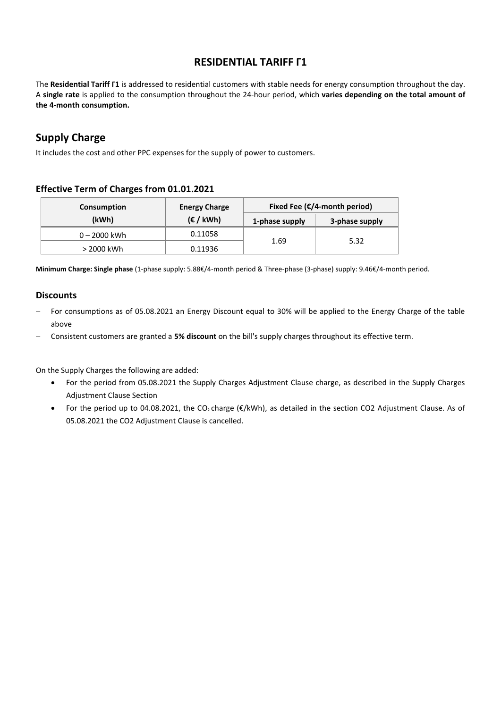### **RESIDENTIAL TARIFF Γ1**

The **Residential Tariff Γ1** is addressed to residential customers with stable needs for energy consumption throughout the day. A **single rate** is applied to the consumption throughout the 24-hour period, which **varies depending on the total amount of the 4-month consumption.**

## **Supply Charge**

It includes the cost and other PPC expenses for the supply of power to customers.

### **Effective Term of Charges from 01.01.2021**

| Consumption  | <b>Energy Charge</b>     | Fixed Fee ( $\epsilon$ /4-month period) |                |  |
|--------------|--------------------------|-----------------------------------------|----------------|--|
| (kWh)        | $(\epsilon / \kappa Wh)$ | 1-phase supply                          | 3-phase supply |  |
| 0 – 2000 kWh | 0.11058                  |                                         | 5.32           |  |
| > 2000 kWh   | 0.11936                  | 1.69                                    |                |  |

**Minimum Charge: Single phase** (1-phase supply: 5.88€/4-month period & Three-phase (3-phase) supply: 9.46€/4-month period.

#### **Discounts**

- − For consumptions as of 05.08.2021 an Energy Discount equal to 30% will be applied to the Energy Charge of the table above
- − Consistent customers are granted a **5% discount** on the bill's supply charges throughout its effective term.

On the Supply Charges the following are added:

- For the period from 05.08.2021 the Supply Charges Adjustment Clause charge, as described in the Supply Charges Adjustment Clause Section
- For the period up to 04.08.2021, the CO2 charge (€/kWh), as detailed in the section CO2 Adjustment Clause. As of 05.08.2021 the CO2 Adjustment Clause is cancelled.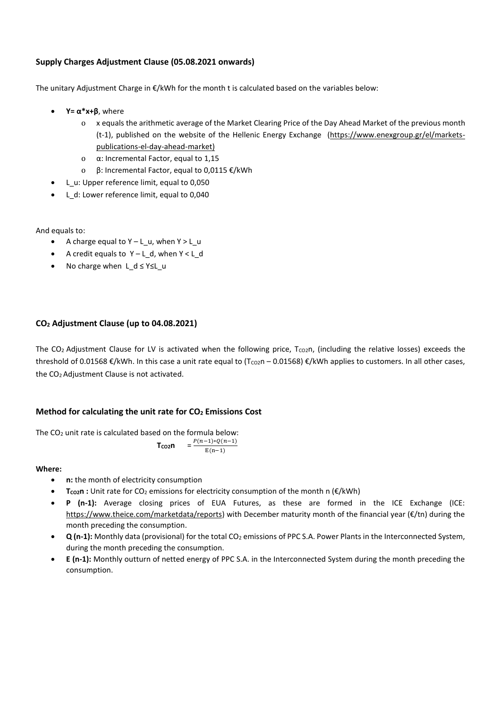#### **Supply Charges Adjustment Clause (05.08.2021 onwards)**

The unitary Adjustment Charge in €/kWh for the month t is calculated based on the variables below:

- **Y= α\*x+β**, where
	- o x equals the arithmetic average of the Market Clearing Price of the Day Ahead Market of the previous month (t-1), published on the website of the Hellenic Energy Exchange [\(https://www.enexgroup.gr/el/markets](https://www.enexgroup.gr/el/markets-publications-el-day-ahead-market)[publications-el-day-ahead-market\)](https://www.enexgroup.gr/el/markets-publications-el-day-ahead-market)
	- o α: Incremental Factor, equal to 1,15
	- o β: Incremental Factor, equal to 0,0115 €/kWh
- L\_u: Upper reference limit, equal to 0,050
- L d: Lower reference limit, equal to 0,040

And equals to:

- A charge equal to Υ L\_u, when Y > L\_u
- A credit equals to Υ L\_d, when Υ < L\_d
- No charge when L d ≤ Y≤L u

#### **CO<sup>2</sup> Adjustment Clause (up to 04.08.2021)**

The CO<sub>2</sub> Adjustment Clause for LV is activated when the following price, T<sub>CO2</sub>n, (including the relative losses) exceeds the threshold of 0.01568  $\mathcal{E}/kWh$ . In this case a unit rate equal to  $(T_{CO2}n - 0.01568) \mathcal{E}/kWh$  applies to customers. In all other cases, the CO2 Adjustment Clause is not activated.

#### **Method for calculating the unit rate for CO<sup>2</sup> Emissions Cost**

The CO<sub>2</sub> unit rate is calculated based on the formula below:

$$
T_{CO2}n = \frac{P(n-1)*Q(n-1)}{E(n-1)}
$$

#### **Where:**

- **n:** the month of electricity consumption
- **TCO2n :** Unit rate for CO<sup>2</sup> emissions for electricity consumption of the month n (€/kWh)
- **P (n-1):** Average closing prices of EUA Futures, as these are formed in the ICE Exchange (ICE: [https://www.theice.com/marketdata/reports\)](https://www.theice.com/marketdata/reports) with December maturity month of the financial year (€/tn) during the month preceding the consumption.
- **Q (n-1):** Monthly data (provisional) for the total CO<sup>2</sup> emissions of PPC S.A. Power Plants in the Interconnected System, during the month preceding the consumption.
- **E (n-1):** Monthly outturn of netted energy of PPC S.A. in the Interconnected System during the month preceding the consumption.